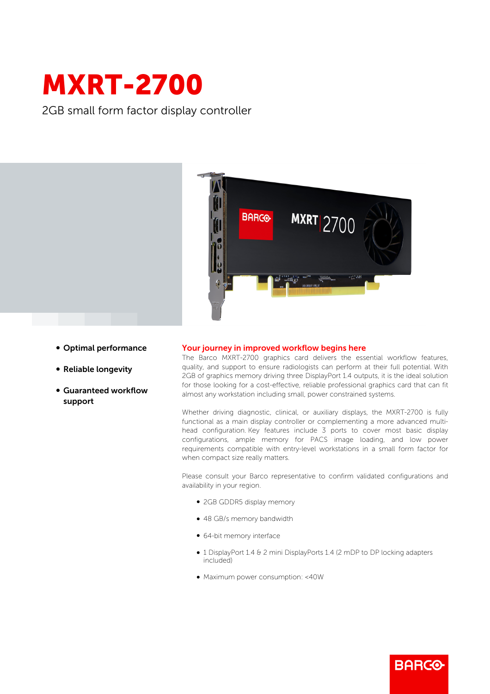

2GB small form factor display controller



- Optimal performance
- Reliable longevity
- b Guaranteed workflow support

## Your journey in improved workflow begins here

The Barco MXRT-2700 graphics card delivers the essential workflow features, quality, and support to ensure radiologists can perform at their full potential. With 2GB of graphics memory driving three DisplayPort 1.4 outputs, it is the ideal solution for those looking for a cost-effective, reliable professional graphics card that can fit almost any workstation including small, power constrained systems.

Whether driving diagnostic, clinical, or auxiliary displays, the MXRT-2700 is fully functional as a main display controller or complementing a more advanced multihead configuration. Key features include 3 ports to cover most basic display configurations, ample memory for PACS image loading, and low power requirements compatible with entry-level workstations in a small form factor for when compact size really matters.

Please consult your Barco representative to confirm validated configurations and availability in your region.

- 2GB GDDR5 display memory
- 48 GB/s memory bandwidth
- 64-bit memory interface
- 1 DisplayPort 1.4 & 2 mini DisplayPorts 1.4 (2 mDP to DP locking adapters included)

**BARGO** 

b Maximum power consumption: <40W